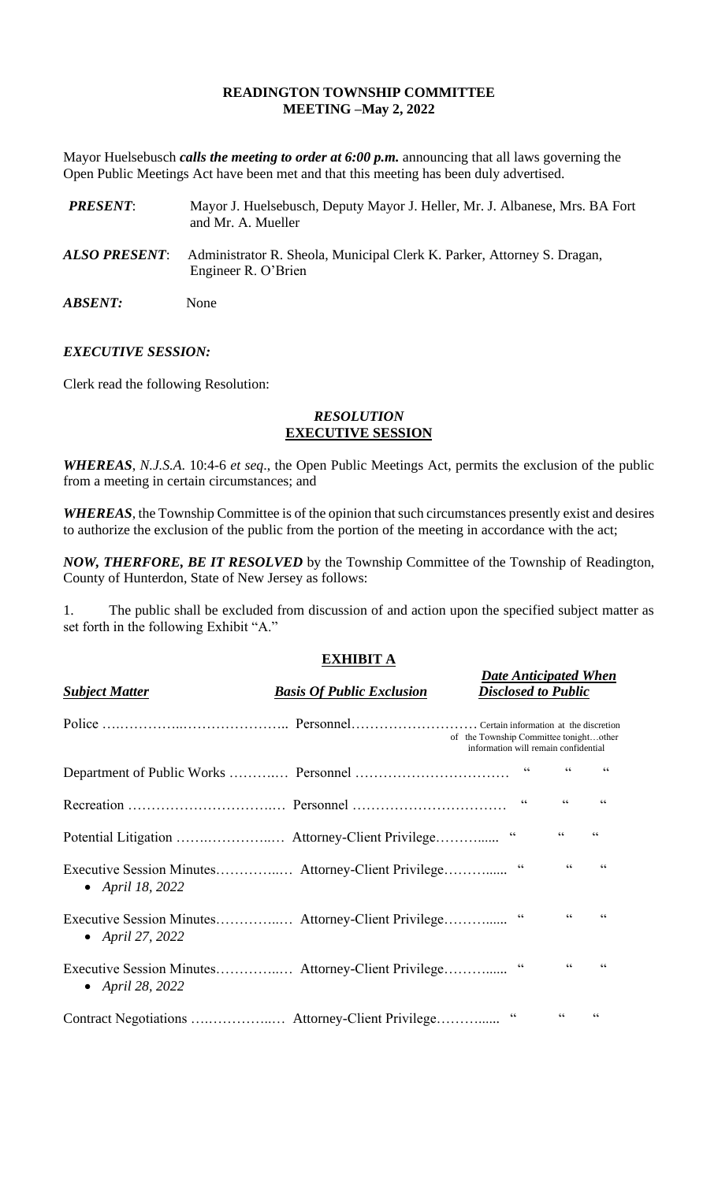## **READINGTON TOWNSHIP COMMITTEE MEETING –May 2, 2022**

Mayor Huelsebusch *calls the meeting to order at 6:00 p.m.* announcing that all laws governing the Open Public Meetings Act have been met and that this meeting has been duly advertised.

| <b>PRESENT:</b>       | Mayor J. Huelsebusch, Deputy Mayor J. Heller, Mr. J. Albanese, Mrs. BA Fort<br>and Mr. A. Mueller |
|-----------------------|---------------------------------------------------------------------------------------------------|
| ALSO PRESENT:         | Administrator R. Sheola, Municipal Clerk K. Parker, Attorney S. Dragan,<br>Engineer R. O'Brien    |
| <i><b>ABSENT:</b></i> | None                                                                                              |

## *EXECUTIVE SESSION:*

Clerk read the following Resolution:

# *RESOLUTION* **EXECUTIVE SESSION**

*WHEREAS*, *N.J.S.A*. 10:4-6 *et seq*., the Open Public Meetings Act, permits the exclusion of the public from a meeting in certain circumstances; and

*WHEREAS,* the Township Committee is of the opinion that such circumstances presently exist and desires to authorize the exclusion of the public from the portion of the meeting in accordance with the act;

*NOW, THERFORE, BE IT RESOLVED* by the Township Committee of the Township of Readington, County of Hunterdon, State of New Jersey as follows:

1. The public shall be excluded from discussion of and action upon the specified subject matter as set forth in the following Exhibit "A."

# **EXHIBIT A**

*Date Anticipated When*

| <b>Subject Matter</b> | <b>Basis Of Public Exclusion</b>                    | <b>Disclosed to Public</b>                                                     |                  |                         |
|-----------------------|-----------------------------------------------------|--------------------------------------------------------------------------------|------------------|-------------------------|
|                       |                                                     | of the Township Committee tonightother<br>information will remain confidential |                  |                         |
|                       |                                                     |                                                                                | $\zeta$ $\zeta$  | 66                      |
|                       |                                                     | $\textsf{G}\,\textsf{G}$                                                       | $\zeta\,\zeta$   | 66                      |
|                       |                                                     | $\mbox{\bf G}$                                                                 | $\zeta\,\zeta$   | $\zeta \, \zeta$        |
| • April 18, 2022      | Executive Session Minutes Attorney-Client Privilege | $\textsf{G}\,\textsf{G}$                                                       | $\zeta \, \zeta$ | $\zeta \zeta$           |
| • April 27, 2022      | Executive Session Minutes Attorney-Client Privilege | $\textsf{G}\,\textsf{G}$                                                       | $\zeta \, \zeta$ | 66                      |
| • April 28, 2022      | Executive Session Minutes Attorney-Client Privilege | $\,$ G $\,$                                                                    | $\zeta\,\zeta$   | $\subseteq$ $\subseteq$ |
|                       |                                                     | $\zeta$ $\zeta$                                                                | 66               | $\zeta \, \zeta$        |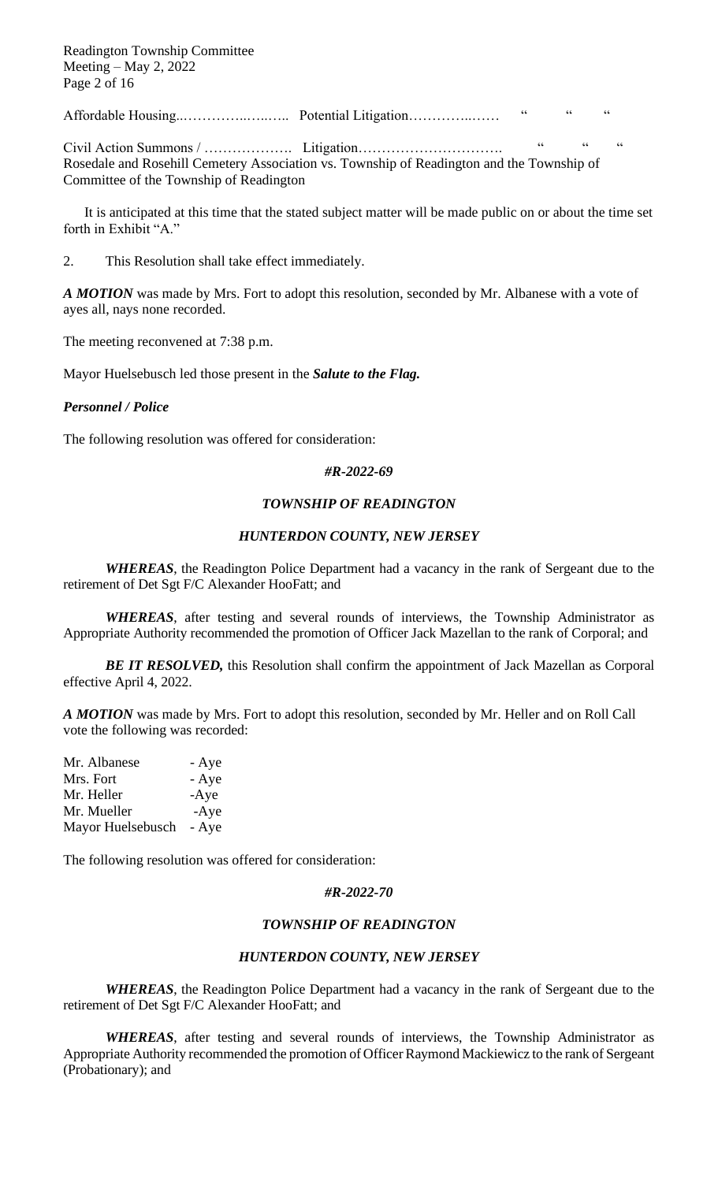Readington Township Committee Meeting – May 2, 2022 Page 2 of 16

Affordable Housing..…………..…..….. Potential Litigation…………..…… " " "

Civil Action Summons / ………………. Litigation…………………………. " " " Rosedale and Rosehill Cemetery Association vs. Township of Readington and the Township of Committee of the Township of Readington

It is anticipated at this time that the stated subject matter will be made public on or about the time set forth in Exhibit "A."

2. This Resolution shall take effect immediately.

*A MOTION* was made by Mrs. Fort to adopt this resolution, seconded by Mr. Albanese with a vote of ayes all, nays none recorded.

The meeting reconvened at 7:38 p.m.

Mayor Huelsebusch led those present in the *Salute to the Flag.*

#### *Personnel / Police*

The following resolution was offered for consideration:

#### *#R-2022-69*

#### *TOWNSHIP OF READINGTON*

#### *HUNTERDON COUNTY, NEW JERSEY*

*WHEREAS*, the Readington Police Department had a vacancy in the rank of Sergeant due to the retirement of Det Sgt F/C Alexander HooFatt; and

*WHEREAS*, after testing and several rounds of interviews, the Township Administrator as Appropriate Authority recommended the promotion of Officer Jack Mazellan to the rank of Corporal; and

*BE IT RESOLVED,* this Resolution shall confirm the appointment of Jack Mazellan as Corporal effective April 4, 2022.

*A MOTION* was made by Mrs. Fort to adopt this resolution, seconded by Mr. Heller and on Roll Call vote the following was recorded:

| Mr. Albanese      | - Aye  |
|-------------------|--------|
| Mrs. Fort         | - Aye  |
| Mr. Heller        | $-Aye$ |
| Mr. Mueller       | $-Aye$ |
| Mayor Huelsebusch | - Aye  |

The following resolution was offered for consideration:

#### *#R-2022-70*

#### *TOWNSHIP OF READINGTON*

#### *HUNTERDON COUNTY, NEW JERSEY*

*WHEREAS*, the Readington Police Department had a vacancy in the rank of Sergeant due to the retirement of Det Sgt F/C Alexander HooFatt; and

*WHEREAS*, after testing and several rounds of interviews, the Township Administrator as Appropriate Authority recommended the promotion of Officer Raymond Mackiewicz to the rank of Sergeant (Probationary); and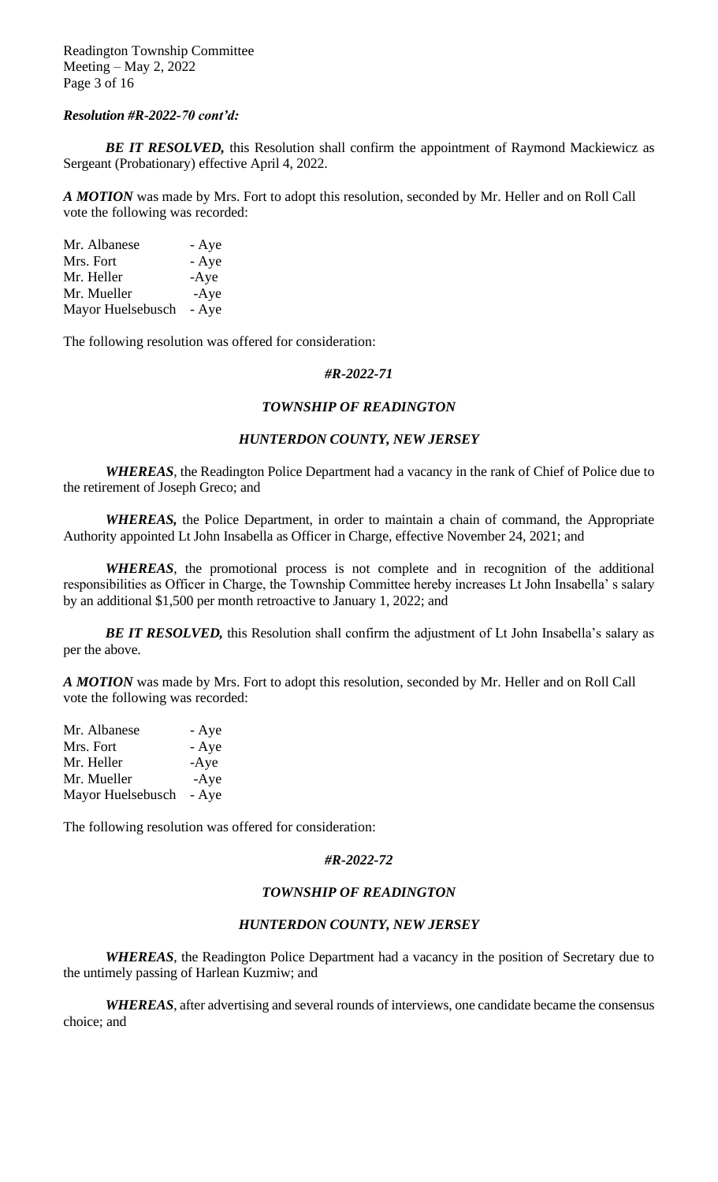Readington Township Committee Meeting – May 2, 2022 Page 3 of 16

#### *Resolution #R-2022-70 cont'd:*

**BE IT RESOLVED,** this Resolution shall confirm the appointment of Raymond Mackiewicz as Sergeant (Probationary) effective April 4, 2022.

*A MOTION* was made by Mrs. Fort to adopt this resolution, seconded by Mr. Heller and on Roll Call vote the following was recorded:

| Mr. Albanese      | - Aye  |
|-------------------|--------|
| Mrs. Fort         | - Aye  |
| Mr. Heller        | $-Aye$ |
| Mr. Mueller       | $-Aye$ |
| Mayor Huelsebusch | - Aye  |

The following resolution was offered for consideration:

#### *#R-2022-71*

#### *TOWNSHIP OF READINGTON*

## *HUNTERDON COUNTY, NEW JERSEY*

*WHEREAS*, the Readington Police Department had a vacancy in the rank of Chief of Police due to the retirement of Joseph Greco; and

*WHEREAS,* the Police Department, in order to maintain a chain of command, the Appropriate Authority appointed Lt John Insabella as Officer in Charge, effective November 24, 2021; and

*WHEREAS*, the promotional process is not complete and in recognition of the additional responsibilities as Officer in Charge, the Township Committee hereby increases Lt John Insabella' s salary by an additional \$1,500 per month retroactive to January 1, 2022; and

*BE IT RESOLVED,* this Resolution shall confirm the adjustment of Lt John Insabella's salary as per the above.

*A MOTION* was made by Mrs. Fort to adopt this resolution, seconded by Mr. Heller and on Roll Call vote the following was recorded:

| Mr. Albanese      | - Aye  |
|-------------------|--------|
| Mrs. Fort         | - Aye  |
| Mr. Heller        | $-Aye$ |
| Mr. Mueller       | $-Aye$ |
| Mayor Huelsebusch | - Aye  |

The following resolution was offered for consideration:

#### *#R-2022-72*

#### *TOWNSHIP OF READINGTON*

#### *HUNTERDON COUNTY, NEW JERSEY*

*WHEREAS*, the Readington Police Department had a vacancy in the position of Secretary due to the untimely passing of Harlean Kuzmiw; and

*WHEREAS*, after advertising and several rounds of interviews, one candidate became the consensus choice; and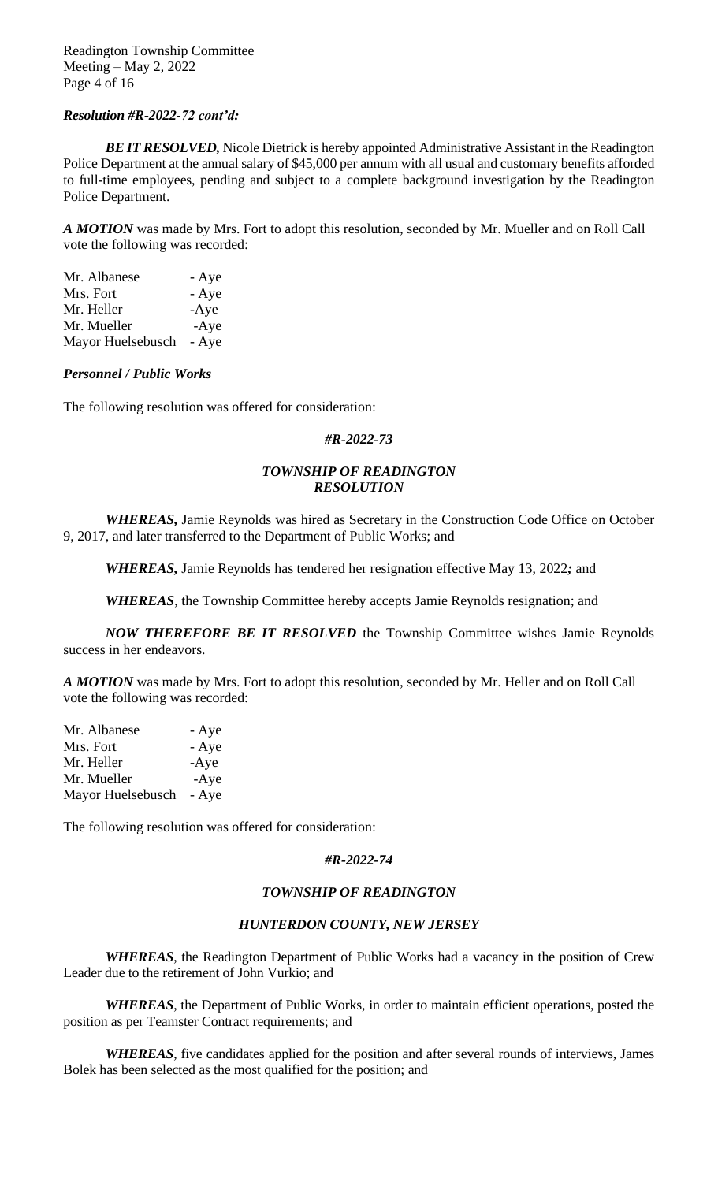#### *Resolution #R-2022-72 cont'd:*

*BE IT RESOLVED,* Nicole Dietrick is hereby appointed Administrative Assistant in the Readington Police Department at the annual salary of \$45,000 per annum with all usual and customary benefits afforded to full-time employees, pending and subject to a complete background investigation by the Readington Police Department.

*A MOTION* was made by Mrs. Fort to adopt this resolution, seconded by Mr. Mueller and on Roll Call vote the following was recorded:

| Mr. Albanese      | - Aye  |
|-------------------|--------|
| Mrs. Fort         | - Aye  |
| Mr. Heller        | $-Aye$ |
| Mr. Mueller       | $-Aye$ |
| Mayor Huelsebusch | - Aye  |

#### *Personnel / Public Works*

The following resolution was offered for consideration:

#### *#R-2022-73*

# *TOWNSHIP OF READINGTON RESOLUTION*

*WHEREAS,* Jamie Reynolds was hired as Secretary in the Construction Code Office on October 9, 2017, and later transferred to the Department of Public Works; and

*WHEREAS,* Jamie Reynolds has tendered her resignation effective May 13, 2022*;* and

*WHEREAS*, the Township Committee hereby accepts Jamie Reynolds resignation; and

*NOW THEREFORE BE IT RESOLVED* the Township Committee wishes Jamie Reynolds success in her endeavors.

*A MOTION* was made by Mrs. Fort to adopt this resolution, seconded by Mr. Heller and on Roll Call vote the following was recorded:

| Mr. Albanese      | - Aye  |
|-------------------|--------|
| Mrs. Fort         | - Aye  |
| Mr. Heller        | $-Aye$ |
| Mr. Mueller       | $-Aye$ |
| Mayor Huelsebusch | - Aye  |

The following resolution was offered for consideration:

## *#R-2022-74*

# *TOWNSHIP OF READINGTON*

## *HUNTERDON COUNTY, NEW JERSEY*

*WHEREAS*, the Readington Department of Public Works had a vacancy in the position of Crew Leader due to the retirement of John Vurkio; and

*WHEREAS*, the Department of Public Works, in order to maintain efficient operations, posted the position as per Teamster Contract requirements; and

*WHEREAS*, five candidates applied for the position and after several rounds of interviews, James Bolek has been selected as the most qualified for the position; and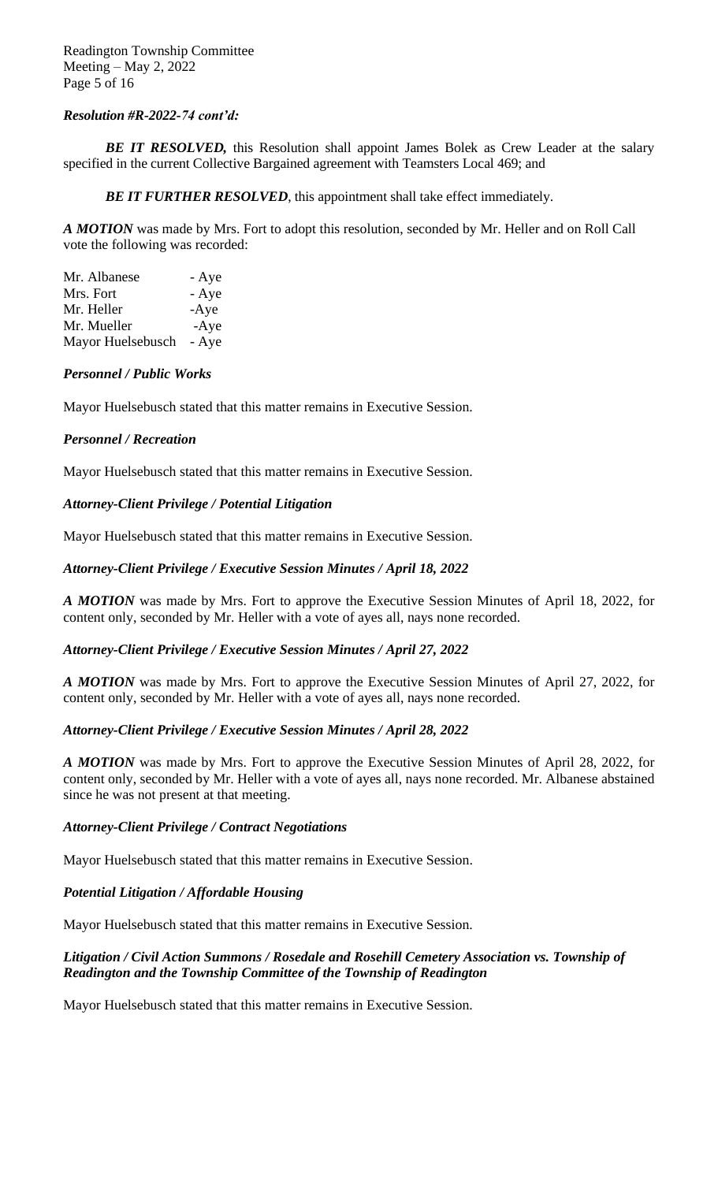# *Resolution #R-2022-74 cont'd:*

**BE IT RESOLVED,** this Resolution shall appoint James Bolek as Crew Leader at the salary specified in the current Collective Bargained agreement with Teamsters Local 469; and

**BE IT FURTHER RESOLVED**, this appointment shall take effect immediately.

*A MOTION* was made by Mrs. Fort to adopt this resolution, seconded by Mr. Heller and on Roll Call vote the following was recorded:

| Mr. Albanese      | - Aye  |
|-------------------|--------|
| Mrs. Fort         | - Aye  |
| Mr. Heller        | $-Aye$ |
| Mr. Mueller       | $-Aye$ |
| Mayor Huelsebusch | - Aye  |

## *Personnel / Public Works*

Mayor Huelsebusch stated that this matter remains in Executive Session.

## *Personnel / Recreation*

Mayor Huelsebusch stated that this matter remains in Executive Session.

# *Attorney-Client Privilege / Potential Litigation*

Mayor Huelsebusch stated that this matter remains in Executive Session.

# *Attorney-Client Privilege / Executive Session Minutes / April 18, 2022*

*A MOTION* was made by Mrs. Fort to approve the Executive Session Minutes of April 18, 2022, for content only, seconded by Mr. Heller with a vote of ayes all, nays none recorded.

## *Attorney-Client Privilege / Executive Session Minutes / April 27, 2022*

*A MOTION* was made by Mrs. Fort to approve the Executive Session Minutes of April 27, 2022, for content only, seconded by Mr. Heller with a vote of ayes all, nays none recorded.

# *Attorney-Client Privilege / Executive Session Minutes / April 28, 2022*

*A MOTION* was made by Mrs. Fort to approve the Executive Session Minutes of April 28, 2022, for content only, seconded by Mr. Heller with a vote of ayes all, nays none recorded. Mr. Albanese abstained since he was not present at that meeting.

# *Attorney-Client Privilege / Contract Negotiations*

Mayor Huelsebusch stated that this matter remains in Executive Session.

# *Potential Litigation / Affordable Housing*

Mayor Huelsebusch stated that this matter remains in Executive Session.

# *Litigation / Civil Action Summons / Rosedale and Rosehill Cemetery Association vs. Township of Readington and the Township Committee of the Township of Readington*

Mayor Huelsebusch stated that this matter remains in Executive Session.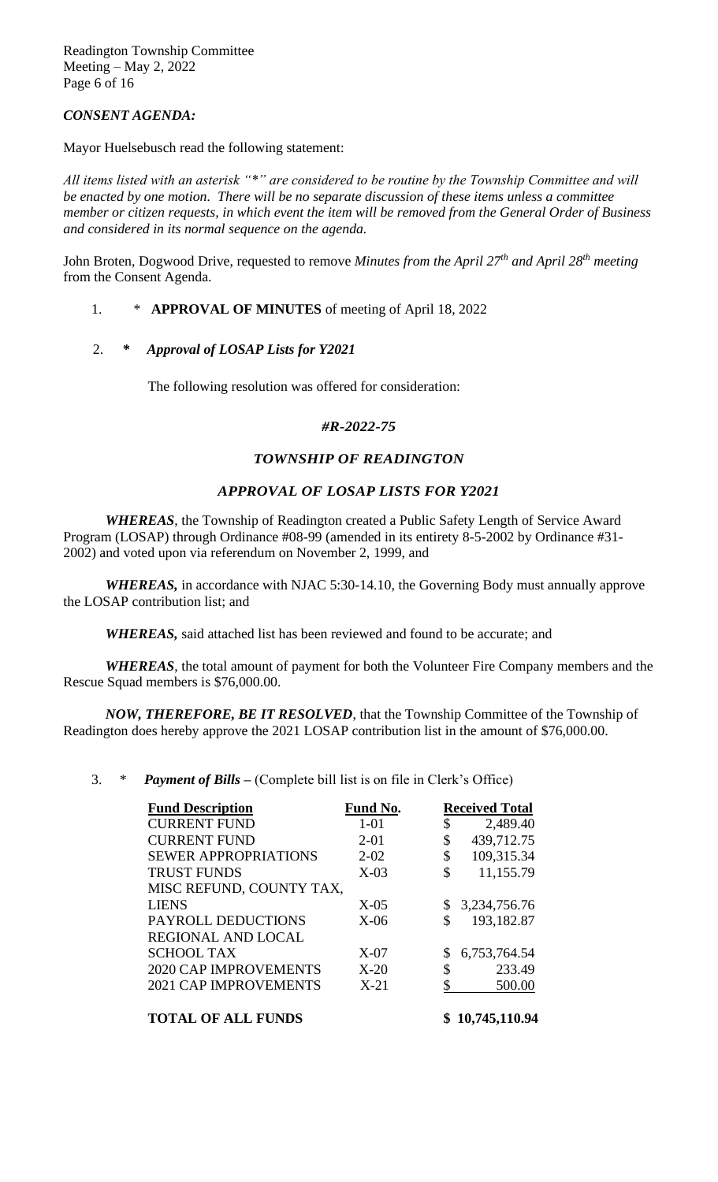Readington Township Committee Meeting – May 2, 2022 Page 6 of 16

# *CONSENT AGENDA:*

Mayor Huelsebusch read the following statement:

*All items listed with an asterisk "\*" are considered to be routine by the Township Committee and will be enacted by one motion. There will be no separate discussion of these items unless a committee member or citizen requests, in which event the item will be removed from the General Order of Business and considered in its normal sequence on the agenda.*

John Broten, Dogwood Drive, requested to remove *Minutes from the April 27th and April 28th meeting* from the Consent Agenda.

## 1. \* **APPROVAL OF MINUTES** of meeting of April 18, 2022

## 2. *\* Approval of LOSAP Lists for Y2021*

The following resolution was offered for consideration:

#### *#R-2022-75*

#### *TOWNSHIP OF READINGTON*

#### *APPROVAL OF LOSAP LISTS FOR Y2021*

*WHEREAS*, the Township of Readington created a Public Safety Length of Service Award Program (LOSAP) through Ordinance #08-99 (amended in its entirety 8-5-2002 by Ordinance #31- 2002) and voted upon via referendum on November 2, 1999, and

*WHEREAS,* in accordance with NJAC 5:30-14.10, the Governing Body must annually approve the LOSAP contribution list; and

*WHEREAS,* said attached list has been reviewed and found to be accurate; and

*WHEREAS*, the total amount of payment for both the Volunteer Fire Company members and the Rescue Squad members is \$76,000.00.

*NOW, THEREFORE, BE IT RESOLVED*, that the Township Committee of the Township of Readington does hereby approve the 2021 LOSAP contribution list in the amount of \$76,000.00.

## 3. \* *Payment of Bills –* (Complete bill list is on file in Clerk's Office)

| <b>Fund Description</b>      | Fund No. | <b>Received Total</b> |
|------------------------------|----------|-----------------------|
| <b>CURRENT FUND</b>          | $1-01$   | \$<br>2,489.40        |
| <b>CURRENT FUND</b>          | $2 - 01$ | \$<br>439,712.75      |
| <b>SEWER APPROPRIATIONS</b>  | $2 - 02$ | \$<br>109,315.34      |
| <b>TRUST FUNDS</b>           | $X-03$   | \$<br>11,155.79       |
| MISC REFUND, COUNTY TAX,     |          |                       |
| <b>LIENS</b>                 | $X-05$   | 3,234,756.76          |
| PAYROLL DEDUCTIONS           | $X-06$   | \$<br>193,182.87      |
| REGIONAL AND LOCAL           |          |                       |
| <b>SCHOOL TAX</b>            | $X-07$   | 6,753,764.54          |
| <b>2020 CAP IMPROVEMENTS</b> | $X-20$   | \$<br>233.49          |
| <b>2021 CAP IMPROVEMENTS</b> | $X-21$   | \$<br>500.00          |
| <b>TOTAL OF ALL FUNDS</b>    |          | 10,745,110.94         |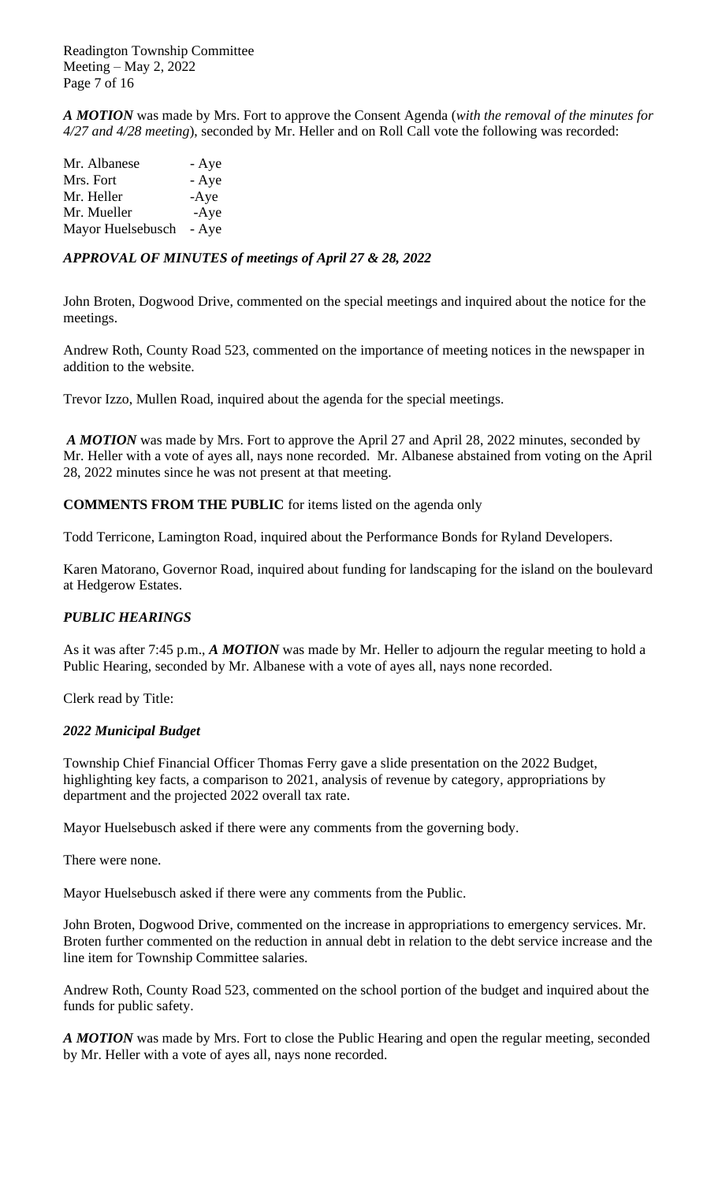Readington Township Committee Meeting – May 2, 2022 Page 7 of 16

*A MOTION* was made by Mrs. Fort to approve the Consent Agenda (*with the removal of the minutes for 4/27 and 4/28 meeting*), seconded by Mr. Heller and on Roll Call vote the following was recorded:

| Mr. Albanese      | - Aye  |
|-------------------|--------|
| Mrs. Fort         | - Aye  |
| Mr. Heller        | $-Aye$ |
| Mr. Mueller       | $-Aye$ |
| Mayor Huelsebusch | - Aye  |

# *APPROVAL OF MINUTES of meetings of April 27 & 28, 2022*

John Broten, Dogwood Drive, commented on the special meetings and inquired about the notice for the meetings.

Andrew Roth, County Road 523, commented on the importance of meeting notices in the newspaper in addition to the website.

Trevor Izzo, Mullen Road, inquired about the agenda for the special meetings.

*A MOTION* was made by Mrs. Fort to approve the April 27 and April 28, 2022 minutes, seconded by Mr. Heller with a vote of ayes all, nays none recorded. Mr. Albanese abstained from voting on the April 28, 2022 minutes since he was not present at that meeting.

**COMMENTS FROM THE PUBLIC** for items listed on the agenda only

Todd Terricone, Lamington Road, inquired about the Performance Bonds for Ryland Developers.

Karen Matorano, Governor Road, inquired about funding for landscaping for the island on the boulevard at Hedgerow Estates.

# *PUBLIC HEARINGS*

As it was after 7:45 p.m., *A MOTION* was made by Mr. Heller to adjourn the regular meeting to hold a Public Hearing, seconded by Mr. Albanese with a vote of ayes all, nays none recorded.

Clerk read by Title:

## *2022 Municipal Budget*

Township Chief Financial Officer Thomas Ferry gave a slide presentation on the 2022 Budget, highlighting key facts, a comparison to 2021, analysis of revenue by category, appropriations by department and the projected 2022 overall tax rate.

Mayor Huelsebusch asked if there were any comments from the governing body.

There were none.

Mayor Huelsebusch asked if there were any comments from the Public.

John Broten, Dogwood Drive, commented on the increase in appropriations to emergency services. Mr. Broten further commented on the reduction in annual debt in relation to the debt service increase and the line item for Township Committee salaries.

Andrew Roth, County Road 523, commented on the school portion of the budget and inquired about the funds for public safety.

*A MOTION* was made by Mrs. Fort to close the Public Hearing and open the regular meeting, seconded by Mr. Heller with a vote of ayes all, nays none recorded.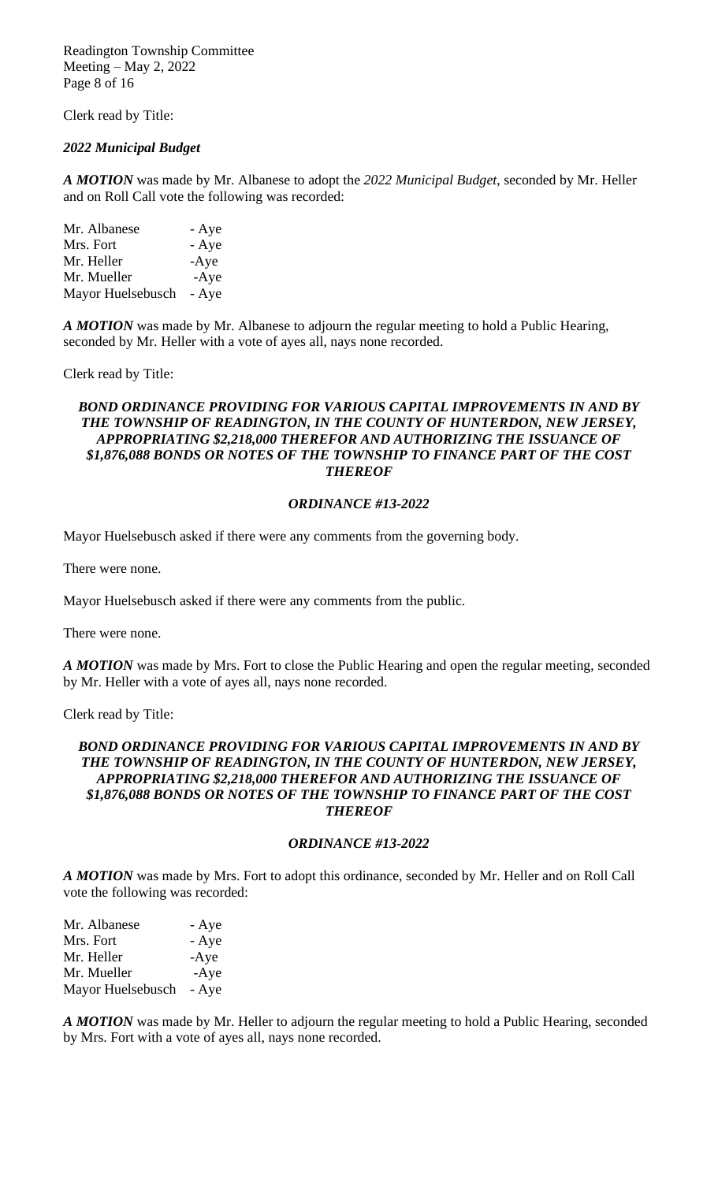Readington Township Committee Meeting – May 2, 2022 Page 8 of 16

Clerk read by Title:

## *2022 Municipal Budget*

*A MOTION* was made by Mr. Albanese to adopt the *2022 Municipal Budget*, seconded by Mr. Heller and on Roll Call vote the following was recorded:

Mr. Albanese - Aye Mrs. Fort - Aye Mr. Heller -Aye Mr. Mueller -Aye Mayor Huelsebusch - Aye

*A MOTION* was made by Mr. Albanese to adjourn the regular meeting to hold a Public Hearing, seconded by Mr. Heller with a vote of ayes all, nays none recorded.

Clerk read by Title:

## *BOND ORDINANCE PROVIDING FOR VARIOUS CAPITAL IMPROVEMENTS IN AND BY THE TOWNSHIP OF READINGTON, IN THE COUNTY OF HUNTERDON, NEW JERSEY, APPROPRIATING \$2,218,000 THEREFOR AND AUTHORIZING THE ISSUANCE OF \$1,876,088 BONDS OR NOTES OF THE TOWNSHIP TO FINANCE PART OF THE COST THEREOF*

#### *ORDINANCE #13-2022*

Mayor Huelsebusch asked if there were any comments from the governing body.

There were none.

Mayor Huelsebusch asked if there were any comments from the public.

There were none.

*A MOTION* was made by Mrs. Fort to close the Public Hearing and open the regular meeting, seconded by Mr. Heller with a vote of ayes all, nays none recorded.

Clerk read by Title:

#### *BOND ORDINANCE PROVIDING FOR VARIOUS CAPITAL IMPROVEMENTS IN AND BY THE TOWNSHIP OF READINGTON, IN THE COUNTY OF HUNTERDON, NEW JERSEY, APPROPRIATING \$2,218,000 THEREFOR AND AUTHORIZING THE ISSUANCE OF \$1,876,088 BONDS OR NOTES OF THE TOWNSHIP TO FINANCE PART OF THE COST THEREOF*

#### *ORDINANCE #13-2022*

*A MOTION* was made by Mrs. Fort to adopt this ordinance, seconded by Mr. Heller and on Roll Call vote the following was recorded:

| Mr. Albanese      | - Aye  |
|-------------------|--------|
| Mrs. Fort         | - Aye  |
| Mr. Heller        | $-Aye$ |
| Mr. Mueller       | $-Aye$ |
| Mayor Huelsebusch | - Aye  |

*A MOTION* was made by Mr. Heller to adjourn the regular meeting to hold a Public Hearing, seconded by Mrs. Fort with a vote of ayes all, nays none recorded.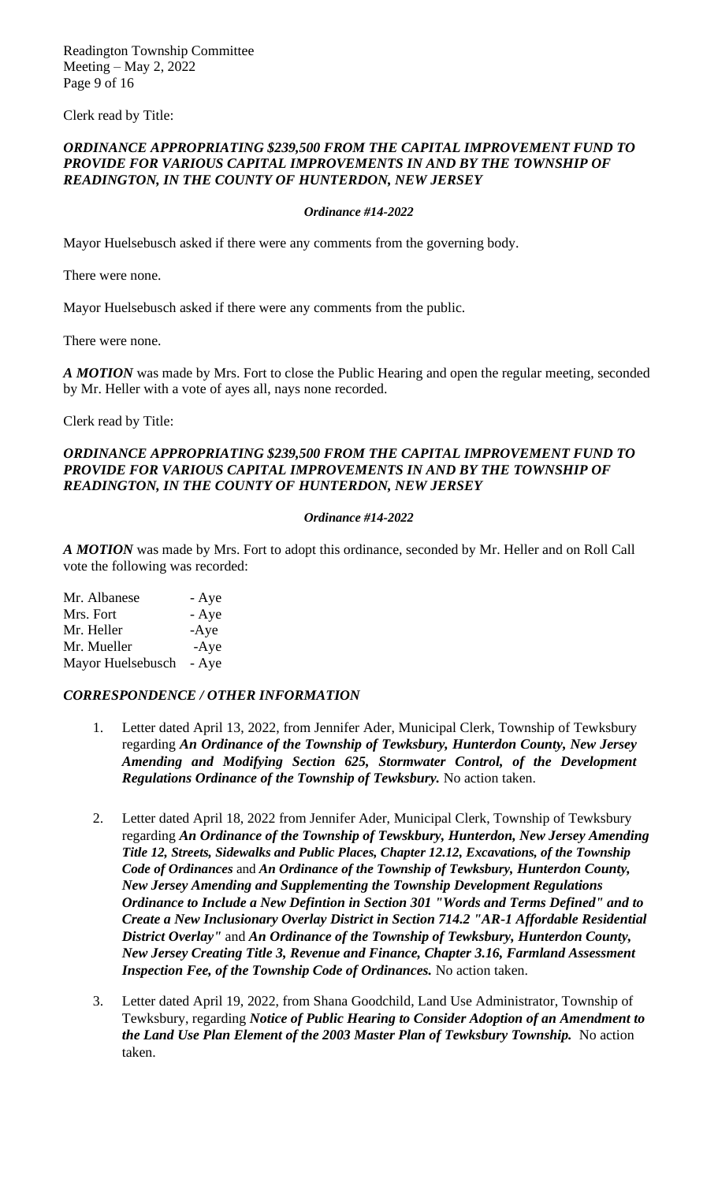Readington Township Committee Meeting – May 2, 2022 Page 9 of 16

Clerk read by Title:

## *ORDINANCE APPROPRIATING \$239,500 FROM THE CAPITAL IMPROVEMENT FUND TO PROVIDE FOR VARIOUS CAPITAL IMPROVEMENTS IN AND BY THE TOWNSHIP OF READINGTON, IN THE COUNTY OF HUNTERDON, NEW JERSEY*

#### *Ordinance #14-2022*

Mayor Huelsebusch asked if there were any comments from the governing body.

There were none.

Mayor Huelsebusch asked if there were any comments from the public.

There were none.

*A MOTION* was made by Mrs. Fort to close the Public Hearing and open the regular meeting, seconded by Mr. Heller with a vote of ayes all, nays none recorded.

Clerk read by Title:

#### *ORDINANCE APPROPRIATING \$239,500 FROM THE CAPITAL IMPROVEMENT FUND TO PROVIDE FOR VARIOUS CAPITAL IMPROVEMENTS IN AND BY THE TOWNSHIP OF READINGTON, IN THE COUNTY OF HUNTERDON, NEW JERSEY*

#### *Ordinance #14-2022*

*A MOTION* was made by Mrs. Fort to adopt this ordinance*,* seconded by Mr. Heller and on Roll Call vote the following was recorded:

| Mr. Albanese      | - Aye  |
|-------------------|--------|
| Mrs. Fort         | - Aye  |
| Mr. Heller        | $-Aye$ |
| Mr. Mueller       | $-Aye$ |
| Mayor Huelsebusch | - Aye  |

## *CORRESPONDENCE / OTHER INFORMATION*

- 1. Letter dated April 13, 2022, from Jennifer Ader, Municipal Clerk, Township of Tewksbury regarding *An Ordinance of the Township of Tewksbury, Hunterdon County, New Jersey Amending and Modifying Section 625, Stormwater Control, of the Development Regulations Ordinance of the Township of Tewksbury.* No action taken.
- 2. Letter dated April 18, 2022 from Jennifer Ader, Municipal Clerk, Township of Tewksbury regarding *An Ordinance of the Township of Tewskbury, Hunterdon, New Jersey Amending Title 12, Streets, Sidewalks and Public Places, Chapter 12.12, Excavations, of the Township Code of Ordinances* and *An Ordinance of the Township of Tewksbury, Hunterdon County, New Jersey Amending and Supplementing the Township Development Regulations Ordinance to Include a New Defintion in Section 301 "Words and Terms Defined" and to Create a New Inclusionary Overlay District in Section 714.2 "AR-1 Affordable Residential District Overlay"* and *An Ordinance of the Township of Tewksbury, Hunterdon County, New Jersey Creating Title 3, Revenue and Finance, Chapter 3.16, Farmland Assessment Inspection Fee, of the Township Code of Ordinances.* No action taken.
- 3. Letter dated April 19, 2022, from Shana Goodchild, Land Use Administrator, Township of Tewksbury, regarding *Notice of Public Hearing to Consider Adoption of an Amendment to the Land Use Plan Element of the 2003 Master Plan of Tewksbury Township.* No action taken.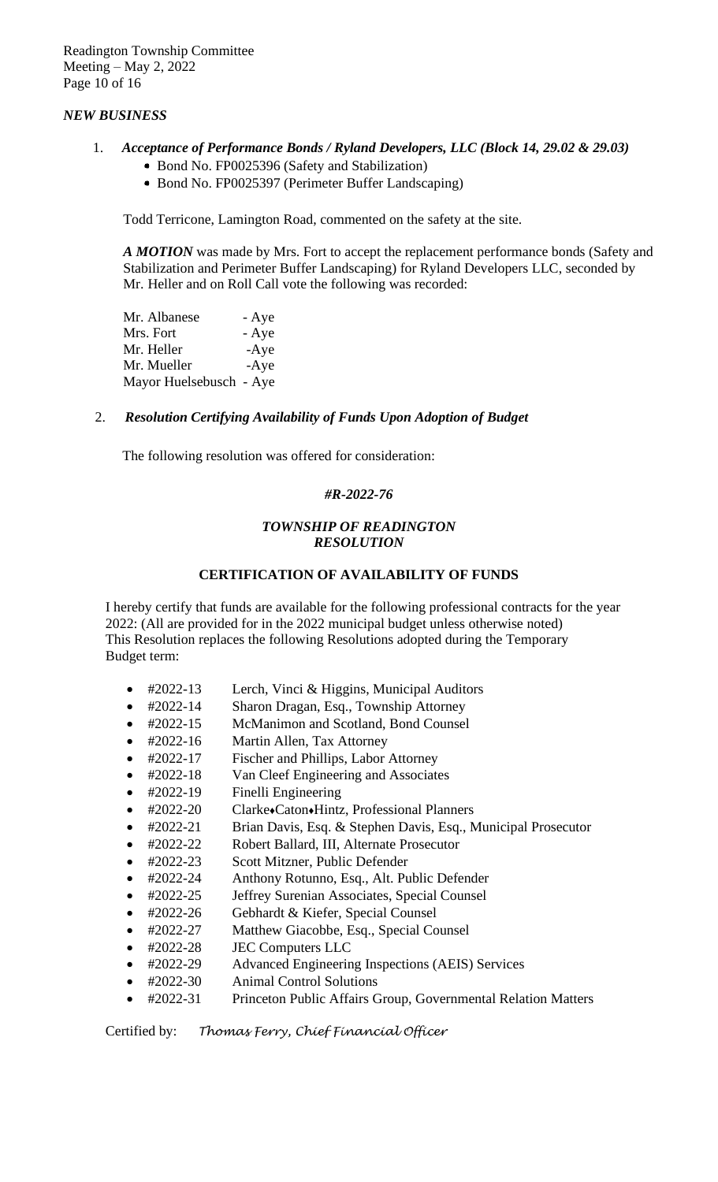# *NEW BUSINESS*

- 1. *Acceptance of Performance Bonds / Ryland Developers, LLC (Block 14, 29.02 & 29.03)*
	- Bond No. FP0025396 (Safety and Stabilization)
	- Bond No. FP0025397 (Perimeter Buffer Landscaping)

Todd Terricone, Lamington Road, commented on the safety at the site.

 *A MOTION* was made by Mrs. Fort to accept the replacement performance bonds (Safety and Stabilization and Perimeter Buffer Landscaping) for Ryland Developers LLC, seconded by Mr. Heller and on Roll Call vote the following was recorded:

| Mr. Albanese            | - Aye  |
|-------------------------|--------|
| Mrs. Fort               | - Aye  |
| Mr. Heller              | $-Aye$ |
| Mr. Mueller             | $-Aye$ |
| Mayor Huelsebusch - Aye |        |

## 2. *Resolution Certifying Availability of Funds Upon Adoption of Budget*

The following resolution was offered for consideration:

#### *#R-2022-76*

#### *TOWNSHIP OF READINGTON RESOLUTION*

## **CERTIFICATION OF AVAILABILITY OF FUNDS**

I hereby certify that funds are available for the following professional contracts for the year 2022: (All are provided for in the 2022 municipal budget unless otherwise noted) This Resolution replaces the following Resolutions adopted during the Temporary Budget term:

- #2022-13 Lerch, Vinci & Higgins, Municipal Auditors
- #2022-14 Sharon Dragan, Esq., Township Attorney
- #2022-15 McManimon and Scotland, Bond Counsel
- #2022-16 Martin Allen, Tax Attorney
- #2022-17 Fischer and Phillips, Labor Attorney
- #2022-18 Van Cleef Engineering and Associates
- #2022-19 Finelli Engineering
- #2022-20 Clarke♦Caton♦Hintz, Professional Planners
- #2022-21 Brian Davis, Esq. & Stephen Davis, Esq., Municipal Prosecutor
- #2022-22 Robert Ballard, III, Alternate Prosecutor
- #2022-23 Scott Mitzner, Public Defender
- #2022-24 Anthony Rotunno, Esq., Alt. Public Defender
- #2022-25 Jeffrey Surenian Associates, Special Counsel
- #2022-26 Gebhardt & Kiefer, Special Counsel
- #2022-27 Matthew Giacobbe, Esq., Special Counsel
- #2022-28 JEC Computers LLC
- #2022-29 Advanced Engineering Inspections (AEIS) Services
- #2022-30 Animal Control Solutions
- #2022-31 Princeton Public Affairs Group, Governmental Relation Matters

Certified by: *Thomas Ferry, Chief Financial Officer*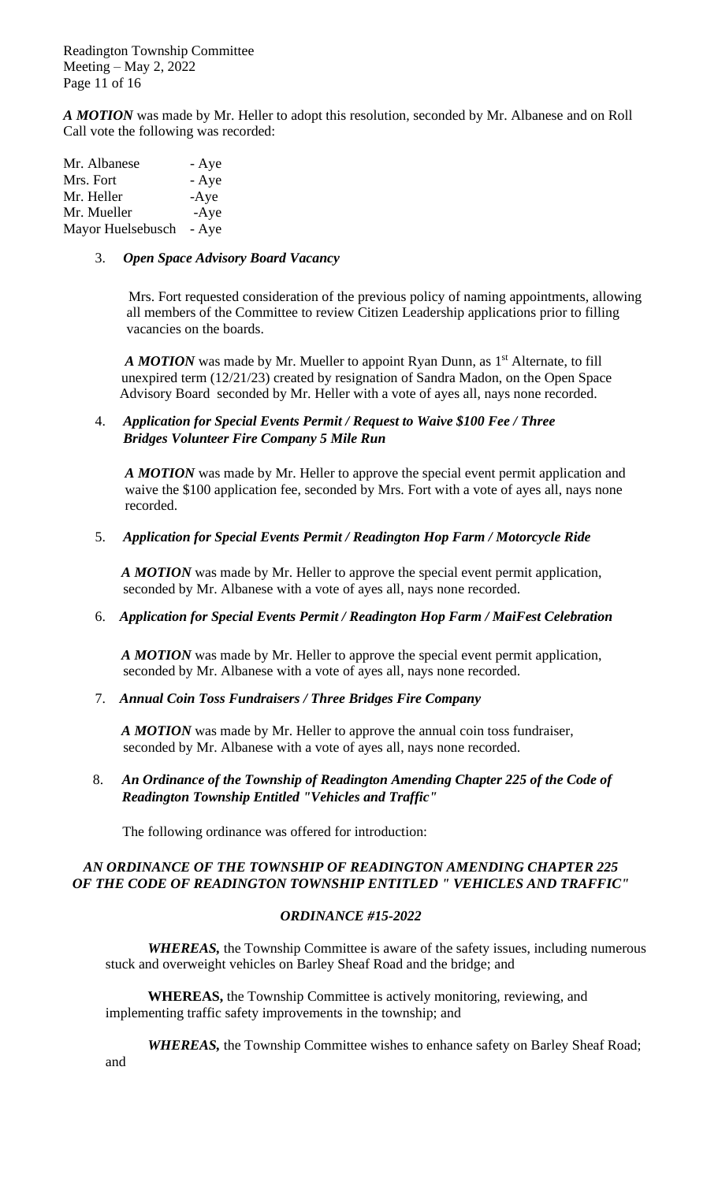Readington Township Committee Meeting – May 2, 2022 Page 11 of 16

*A MOTION* was made by Mr. Heller to adopt this resolution*,* seconded by Mr. Albanese and on Roll Call vote the following was recorded:

| Mr. Albanese      | - Aye  |
|-------------------|--------|
| Mrs. Fort         | - Aye  |
| Mr. Heller        | $-Aye$ |
| Mr. Mueller       | $-Aye$ |
| Mayor Huelsebusch | - Aye  |

#### 3. *Open Space Advisory Board Vacancy*

 Mrs. Fort requested consideration of the previous policy of naming appointments, allowing all members of the Committee to review Citizen Leadership applications prior to filling vacancies on the boards.

A MOTION was made by Mr. Mueller to appoint Ryan Dunn, as 1<sup>st</sup> Alternate, to fill unexpired term (12/21/23) created by resignation of Sandra Madon, on the Open Space Advisory Board seconded by Mr. Heller with a vote of ayes all, nays none recorded.

# 4. *Application for Special Events Permit / Request to Waive \$100 Fee / Three Bridges Volunteer Fire Company 5 Mile Run*

*A MOTION* was made by Mr. Heller to approve the special event permit application and waive the \$100 application fee, seconded by Mrs. Fort with a vote of ayes all, nays none recorded.

#### 5. *Application for Special Events Permit / Readington Hop Farm / Motorcycle Ride*

*A MOTION* was made by Mr. Heller to approve the special event permit application, seconded by Mr. Albanese with a vote of ayes all, nays none recorded.

## 6. *Application for Special Events Permit / Readington Hop Farm / MaiFest Celebration*

*A MOTION* was made by Mr. Heller to approve the special event permit application, seconded by Mr. Albanese with a vote of ayes all, nays none recorded.

## 7. *Annual Coin Toss Fundraisers / Three Bridges Fire Company*

*A MOTION* was made by Mr. Heller to approve the annual coin toss fundraiser, seconded by Mr. Albanese with a vote of ayes all, nays none recorded.

8. *An Ordinance of the Township of Readington Amending Chapter 225 of the Code of Readington Township Entitled "Vehicles and Traffic"*

The following ordinance was offered for introduction:

# *AN ORDINANCE OF THE TOWNSHIP OF READINGTON AMENDING CHAPTER 225 OF THE CODE OF READINGTON TOWNSHIP ENTITLED " VEHICLES AND TRAFFIC"*

## *ORDINANCE #15-2022*

*WHEREAS,* the Township Committee is aware of the safety issues, including numerous stuck and overweight vehicles on Barley Sheaf Road and the bridge; and

**WHEREAS,** the Township Committee is actively monitoring, reviewing, and implementing traffic safety improvements in the township; and

*WHEREAS,* the Township Committee wishes to enhance safety on Barley Sheaf Road; and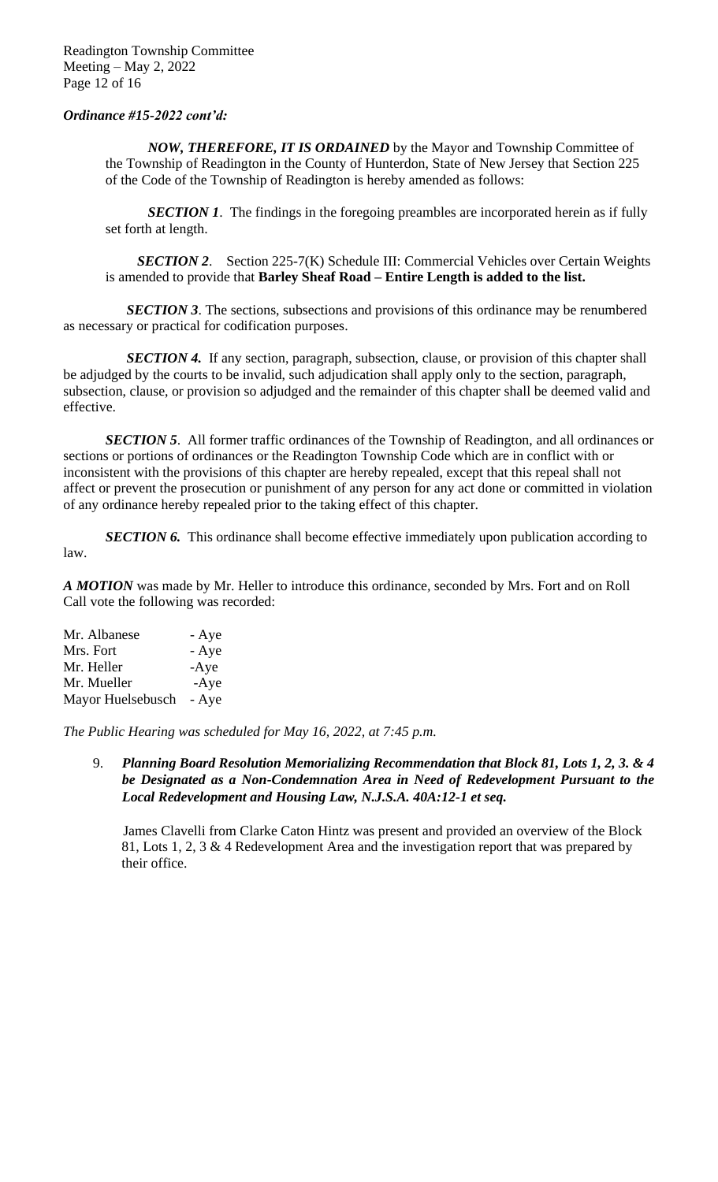# *Ordinance #15-2022 cont'd:*

*NOW, THEREFORE, IT IS ORDAINED* by the Mayor and Township Committee of the Township of Readington in the County of Hunterdon, State of New Jersey that Section 225 of the Code of the Township of Readington is hereby amended as follows:

*SECTION 1*. The findings in the foregoing preambles are incorporated herein as if fully set forth at length.

 *SECTION 2*. Section 225-7(K) Schedule III: Commercial Vehicles over Certain Weights is amended to provide that **Barley Sheaf Road – Entire Length is added to the list.**

*SECTION 3*. The sections, subsections and provisions of this ordinance may be renumbered as necessary or practical for codification purposes.

*SECTION 4.* If any section, paragraph, subsection, clause, or provision of this chapter shall be adjudged by the courts to be invalid, such adjudication shall apply only to the section, paragraph, subsection, clause, or provision so adjudged and the remainder of this chapter shall be deemed valid and effective.

**SECTION 5.** All former traffic ordinances of the Township of Readington, and all ordinances or sections or portions of ordinances or the Readington Township Code which are in conflict with or inconsistent with the provisions of this chapter are hereby repealed, except that this repeal shall not affect or prevent the prosecution or punishment of any person for any act done or committed in violation of any ordinance hereby repealed prior to the taking effect of this chapter.

**SECTION 6.** This ordinance shall become effective immediately upon publication according to law.

*A MOTION* was made by Mr. Heller to introduce this ordinance*,* seconded by Mrs. Fort and on Roll Call vote the following was recorded:

| Mr. Albanese      | - Aye  |
|-------------------|--------|
| Mrs. Fort         | - Aye  |
| Mr. Heller        | $-Aye$ |
| Mr. Mueller       | $-Aye$ |
| Mayor Huelsebusch | - Aye  |

*The Public Hearing was scheduled for May 16, 2022, at 7:45 p.m.*

9. *Planning Board Resolution Memorializing Recommendation that Block 81, Lots 1, 2, 3. & 4 be Designated as a Non-Condemnation Area in Need of Redevelopment Pursuant to the Local Redevelopment and Housing Law, N.J.S.A. 40A:12-1 et seq.*

 James Clavelli from Clarke Caton Hintz was present and provided an overview of the Block 81, Lots 1, 2, 3 & 4 Redevelopment Area and the investigation report that was prepared by their office.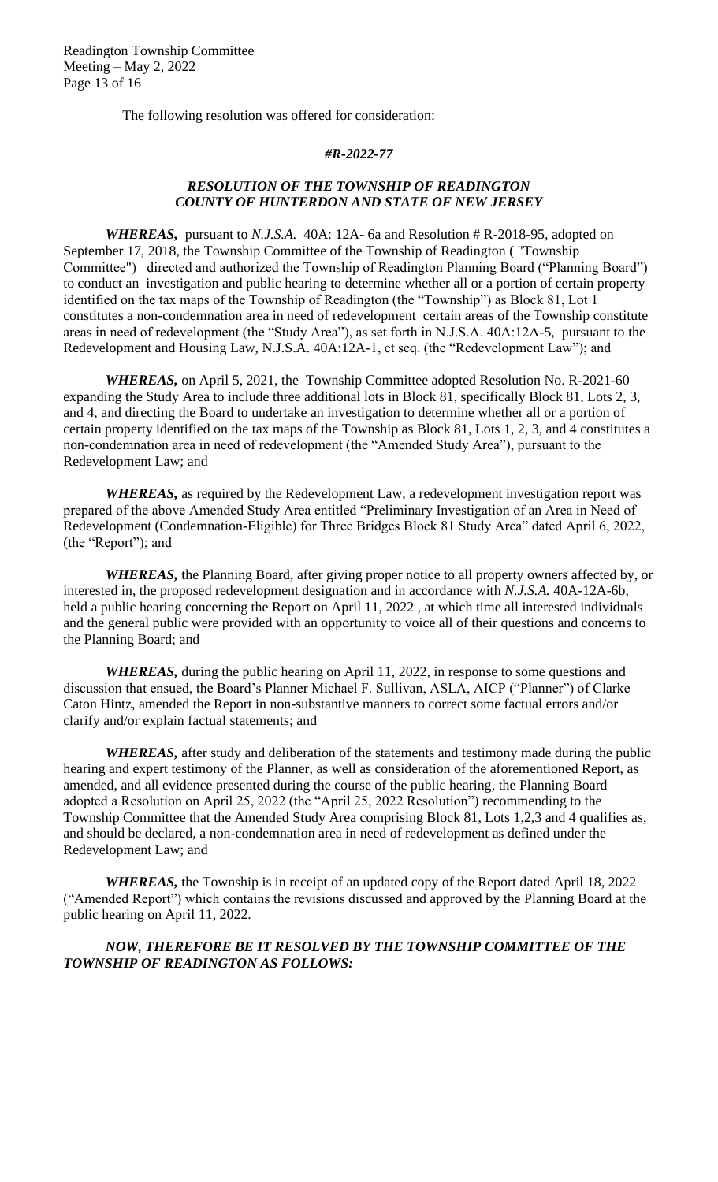Readington Township Committee Meeting – May 2, 2022 Page 13 of 16

The following resolution was offered for consideration:

#### *#R-2022-77*

# *RESOLUTION OF THE TOWNSHIP OF READINGTON COUNTY OF HUNTERDON AND STATE OF NEW JERSEY*

*WHEREAS,* pursuant to *N.J.S.A.* 40A: 12A- 6a and Resolution # R-2018-95, adopted on September 17, 2018, the Township Committee of the Township of Readington ( "Township Committee") directed and authorized the Township of Readington Planning Board ("Planning Board") to conduct an investigation and public hearing to determine whether all or a portion of certain property identified on the tax maps of the Township of Readington (the "Township") as Block 81, Lot 1 constitutes a non-condemnation area in need of redevelopment certain areas of the Township constitute areas in need of redevelopment (the "Study Area"), as set forth in N.J.S.A. 40A:12A-5, pursuant to the Redevelopment and Housing Law, N.J.S.A. 40A:12A-1, et seq. (the "Redevelopment Law"); and

*WHEREAS,* on April 5, 2021, the Township Committee adopted Resolution No. R-2021-60 expanding the Study Area to include three additional lots in Block 81, specifically Block 81, Lots 2, 3, and 4, and directing the Board to undertake an investigation to determine whether all or a portion of certain property identified on the tax maps of the Township as Block 81, Lots 1, 2, 3, and 4 constitutes a non-condemnation area in need of redevelopment (the "Amended Study Area"), pursuant to the Redevelopment Law; and

*WHEREAS,* as required by the Redevelopment Law, a redevelopment investigation report was prepared of the above Amended Study Area entitled "Preliminary Investigation of an Area in Need of Redevelopment (Condemnation-Eligible) for Three Bridges Block 81 Study Area" dated April 6, 2022, (the "Report"); and

*WHEREAS,* the Planning Board, after giving proper notice to all property owners affected by, or interested in, the proposed redevelopment designation and in accordance with *N.J.S.A.* 40A-12A-6b, held a public hearing concerning the Report on April 11, 2022 , at which time all interested individuals and the general public were provided with an opportunity to voice all of their questions and concerns to the Planning Board; and

*WHEREAS,* during the public hearing on April 11, 2022, in response to some questions and discussion that ensued, the Board's Planner Michael F. Sullivan, ASLA, AICP ("Planner") of Clarke Caton Hintz, amended the Report in non-substantive manners to correct some factual errors and/or clarify and/or explain factual statements; and

**WHEREAS**, after study and deliberation of the statements and testimony made during the public hearing and expert testimony of the Planner, as well as consideration of the aforementioned Report, as amended, and all evidence presented during the course of the public hearing*,* the Planning Board adopted a Resolution on April 25, 2022 (the "April 25, 2022 Resolution") recommending to the Township Committee that the Amended Study Area comprising Block 81, Lots 1,2,3 and 4 qualifies as, and should be declared, a non-condemnation area in need of redevelopment as defined under the Redevelopment Law; and

*WHEREAS,* the Township is in receipt of an updated copy of the Report dated April 18, 2022 ("Amended Report") which contains the revisions discussed and approved by the Planning Board at the public hearing on April 11, 2022.

# *NOW, THEREFORE BE IT RESOLVED BY THE TOWNSHIP COMMITTEE OF THE TOWNSHIP OF READINGTON AS FOLLOWS:*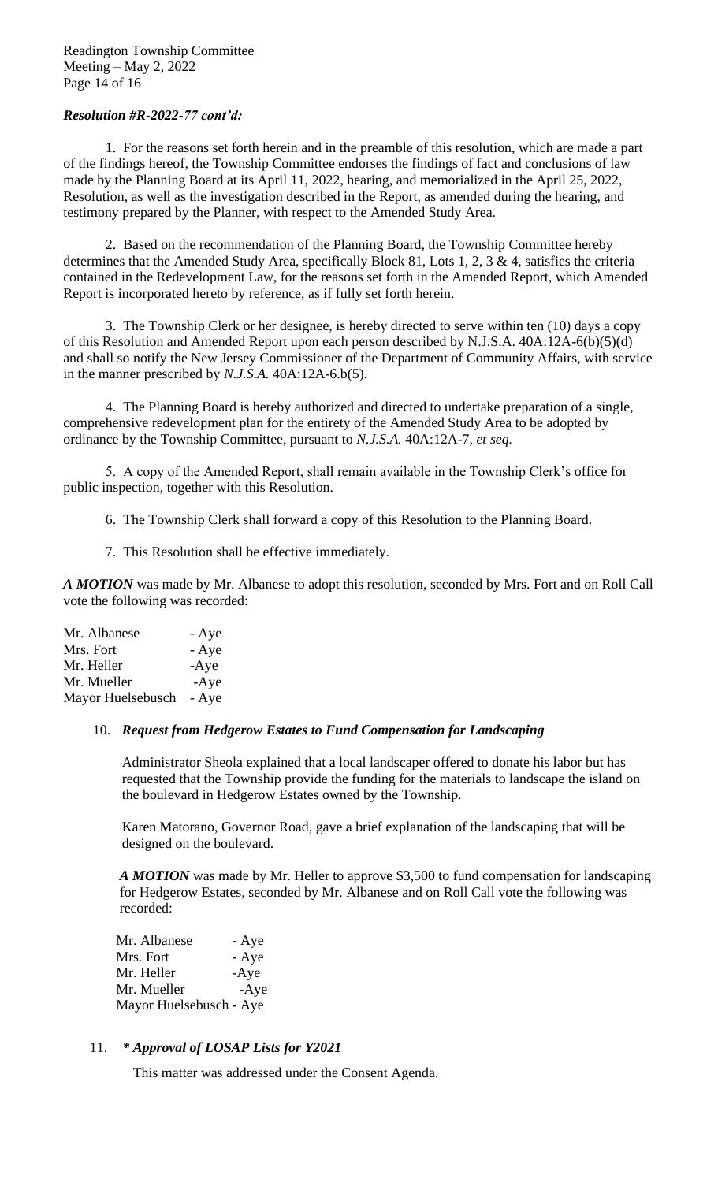## *Resolution #R-2022-77 cont'd:*

1. For the reasons set forth herein and in the preamble of this resolution, which are made a part of the findings hereof, the Township Committee endorses the findings of fact and conclusions of law made by the Planning Board at its April 11, 2022, hearing, and memorialized in the April 25, 2022, Resolution, as well as the investigation described in the Report, as amended during the hearing, and testimony prepared by the Planner, with respect to the Amended Study Area.

2. Based on the recommendation of the Planning Board, the Township Committee hereby determines that the Amended Study Area, specifically Block 81, Lots 1, 2, 3 & 4, satisfies the criteria contained in the Redevelopment Law, for the reasons set forth in the Amended Report, which Amended Report is incorporated hereto by reference, as if fully set forth herein.

3. The Township Clerk or her designee, is hereby directed to serve within ten (10) days a copy of this Resolution and Amended Report upon each person described by N.J.S.A. 40A:12A-6(b)(5)(d) and shall so notify the New Jersey Commissioner of the Department of Community Affairs, with service in the manner prescribed by *N.J.S.A.* 40A:12A-6.b(5).

4. The Planning Board is hereby authorized and directed to undertake preparation of a single, comprehensive redevelopment plan for the entirety of the Amended Study Area to be adopted by ordinance by the Township Committee, pursuant to *N.J.S.A.* 40A:12A-7, *et seq.*

5. A copy of the Amended Report, shall remain available in the Township Clerk's office for public inspection, together with this Resolution.

- 6. The Township Clerk shall forward a copy of this Resolution to the Planning Board.
- 7. This Resolution shall be effective immediately.

*A MOTION* was made by Mr. Albanese to adopt this resolution*,* seconded by Mrs. Fort and on Roll Call vote the following was recorded:

Mr. Albanese - Aye Mrs. Fort - Aye Mr. Heller -Aye Mr. Mueller -Aye Mayor Huelsebusch - Aye

## 10. *Request from Hedgerow Estates to Fund Compensation for Landscaping*

Administrator Sheola explained that a local landscaper offered to donate his labor but has requested that the Township provide the funding for the materials to landscape the island on the boulevard in Hedgerow Estates owned by the Township.

Karen Matorano, Governor Road, gave a brief explanation of the landscaping that will be designed on the boulevard.

 *A MOTION* was made by Mr. Heller to approve \$3,500 to fund compensation for landscaping for Hedgerow Estates, seconded by Mr. Albanese and on Roll Call vote the following was recorded:

| Mr. Albanese            | - Aye  |
|-------------------------|--------|
| Mrs. Fort               | - Aye  |
| Mr. Heller              | $-Aye$ |
| Mr. Mueller             | $-Aye$ |
| Mayor Huelsebusch - Aye |        |

## 11. *\* Approval of LOSAP Lists for Y2021*

This matter was addressed under the Consent Agenda.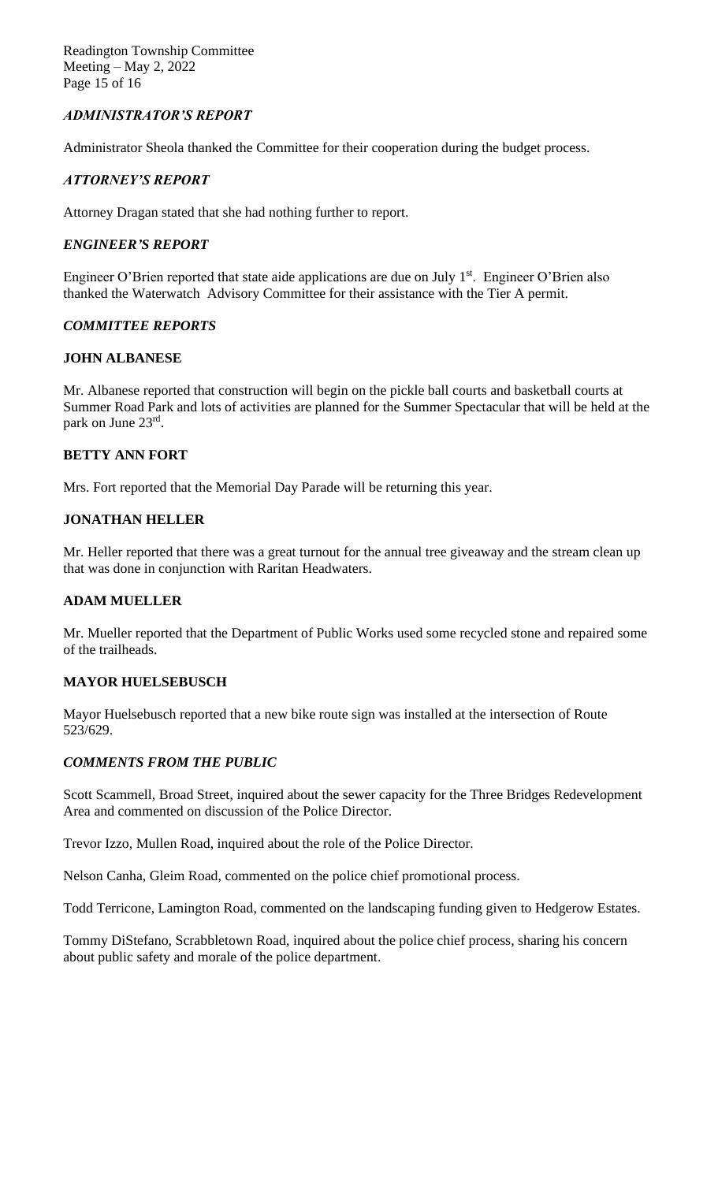Readington Township Committee Meeting – May 2, 2022 Page 15 of 16

# *ADMINISTRATOR'S REPORT*

Administrator Sheola thanked the Committee for their cooperation during the budget process.

#### *ATTORNEY'S REPORT*

Attorney Dragan stated that she had nothing further to report.

#### *ENGINEER'S REPORT*

Engineer O'Brien reported that state aide applications are due on July 1<sup>st</sup>. Engineer O'Brien also thanked the Waterwatch Advisory Committee for their assistance with the Tier A permit.

## *COMMITTEE REPORTS*

#### **JOHN ALBANESE**

Mr. Albanese reported that construction will begin on the pickle ball courts and basketball courts at Summer Road Park and lots of activities are planned for the Summer Spectacular that will be held at the park on June 23rd.

## **BETTY ANN FORT**

Mrs. Fort reported that the Memorial Day Parade will be returning this year.

#### **JONATHAN HELLER**

Mr. Heller reported that there was a great turnout for the annual tree giveaway and the stream clean up that was done in conjunction with Raritan Headwaters.

## **ADAM MUELLER**

Mr. Mueller reported that the Department of Public Works used some recycled stone and repaired some of the trailheads.

#### **MAYOR HUELSEBUSCH**

Mayor Huelsebusch reported that a new bike route sign was installed at the intersection of Route 523/629.

## *COMMENTS FROM THE PUBLIC*

Scott Scammell, Broad Street, inquired about the sewer capacity for the Three Bridges Redevelopment Area and commented on discussion of the Police Director.

Trevor Izzo, Mullen Road, inquired about the role of the Police Director.

Nelson Canha, Gleim Road, commented on the police chief promotional process.

Todd Terricone, Lamington Road, commented on the landscaping funding given to Hedgerow Estates.

Tommy DiStefano, Scrabbletown Road, inquired about the police chief process, sharing his concern about public safety and morale of the police department.